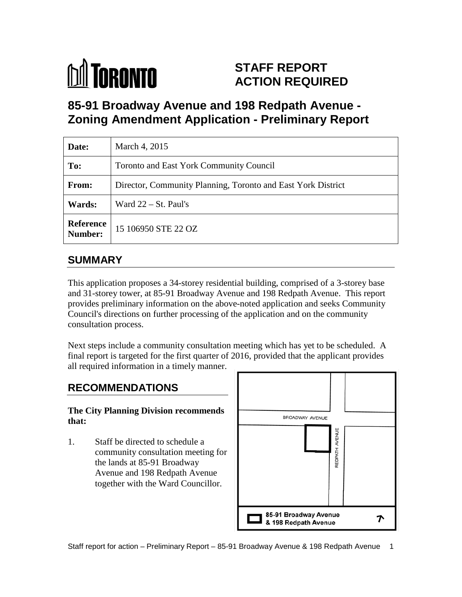# **M** TORONTO

# **STAFF REPORT ACTION REQUIRED**

**85-91 Broadway Avenue and 198 Redpath Avenue - Zoning Amendment Application - Preliminary Report**

| Date:                       | March 4, 2015                                                |
|-----------------------------|--------------------------------------------------------------|
| To:                         | <b>Toronto and East York Community Council</b>               |
| <b>From:</b>                | Director, Community Planning, Toronto and East York District |
| Wards:                      | Ward $22 - St.$ Paul's                                       |
| <b>Reference</b><br>Number: | 15 106950 STE 22 OZ                                          |

## **SUMMARY**

**that:**

This application proposes a 34-storey residential building, comprised of a 3-storey base and 31-storey tower, at 85-91 Broadway Avenue and 198 Redpath Avenue. This report provides preliminary information on the above-noted application and seeks Community Council's directions on further processing of the application and on the community consultation process.

Next steps include a community consultation meeting which has yet to be scheduled. A final report is targeted for the first quarter of 2016, provided that the applicant provides all required information in a timely manner.



Staff report for action – Preliminary Report – 85-91 Broadway Avenue & 198 Redpath Avenue 1

プ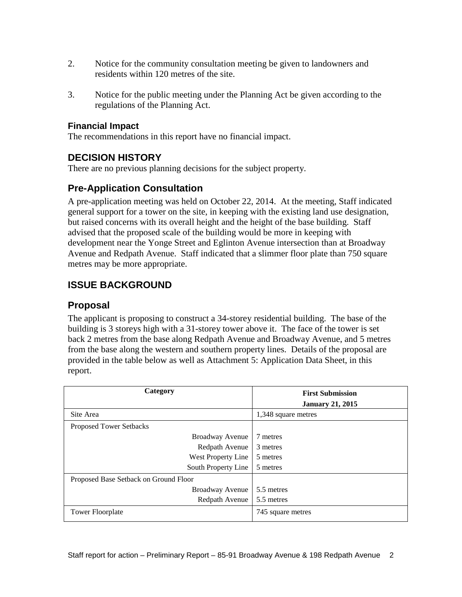- 2. Notice for the community consultation meeting be given to landowners and residents within 120 metres of the site.
- 3. Notice for the public meeting under the Planning Act be given according to the regulations of the Planning Act.

#### **Financial Impact**

The recommendations in this report have no financial impact.

### **DECISION HISTORY**

There are no previous planning decisions for the subject property.

## **Pre-Application Consultation**

A pre-application meeting was held on October 22, 2014. At the meeting, Staff indicated general support for a tower on the site, in keeping with the existing land use designation, but raised concerns with its overall height and the height of the base building. Staff advised that the proposed scale of the building would be more in keeping with development near the Yonge Street and Eglinton Avenue intersection than at Broadway Avenue and Redpath Avenue. Staff indicated that a slimmer floor plate than 750 square metres may be more appropriate.

## **ISSUE BACKGROUND**

## **Proposal**

The applicant is proposing to construct a 34-storey residential building. The base of the building is 3 storeys high with a 31-storey tower above it. The face of the tower is set back 2 metres from the base along Redpath Avenue and Broadway Avenue, and 5 metres from the base along the western and southern property lines. Details of the proposal are provided in the table below as well as Attachment 5: Application Data Sheet, in this report.

| Category                              | <b>First Submission</b> |  |  |  |
|---------------------------------------|-------------------------|--|--|--|
|                                       | <b>January 21, 2015</b> |  |  |  |
| Site Area                             | 1,348 square metres     |  |  |  |
| <b>Proposed Tower Setbacks</b>        |                         |  |  |  |
| <b>Broadway Avenue</b>                | 7 metres                |  |  |  |
| Redpath Avenue                        | 3 metres                |  |  |  |
| West Property Line                    | 5 metres                |  |  |  |
| South Property Line                   | 5 metres                |  |  |  |
| Proposed Base Setback on Ground Floor |                         |  |  |  |
| <b>Broadway Avenue</b>                | 5.5 metres              |  |  |  |
| Redpath Avenue                        | 5.5 metres              |  |  |  |
| <b>Tower Floorplate</b>               | 745 square metres       |  |  |  |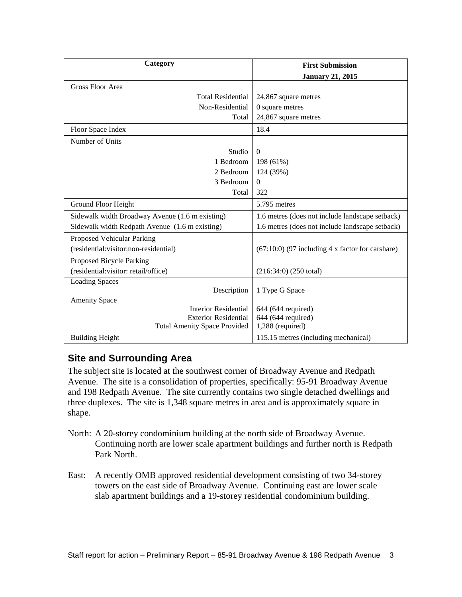| Category                                                           | <b>First Submission</b>                            |  |  |  |  |
|--------------------------------------------------------------------|----------------------------------------------------|--|--|--|--|
|                                                                    | <b>January 21, 2015</b>                            |  |  |  |  |
| Gross Floor Area                                                   |                                                    |  |  |  |  |
| <b>Total Residential</b>                                           | 24,867 square metres                               |  |  |  |  |
| Non-Residential                                                    | 0 square metres                                    |  |  |  |  |
| Total                                                              | 24,867 square metres                               |  |  |  |  |
| Floor Space Index                                                  | 18.4                                               |  |  |  |  |
| Number of Units                                                    |                                                    |  |  |  |  |
| Studio                                                             | $\mathbf{0}$                                       |  |  |  |  |
| 1 Bedroom                                                          | 198 (61%)                                          |  |  |  |  |
| 2 Bedroom                                                          | 124 (39%)                                          |  |  |  |  |
| 3 Bedroom                                                          | $\Omega$                                           |  |  |  |  |
| Total                                                              | 322                                                |  |  |  |  |
| Ground Floor Height                                                | 5.795 metres                                       |  |  |  |  |
| Sidewalk width Broadway Avenue (1.6 m existing)                    | 1.6 metres (does not include landscape setback)    |  |  |  |  |
| Sidewalk width Redpath Avenue (1.6 m existing)                     | 1.6 metres (does not include landscape setback)    |  |  |  |  |
| <b>Proposed Vehicular Parking</b>                                  |                                                    |  |  |  |  |
| (residential:visitor:non-residential)                              | $(67:10:0)$ (97 including 4 x factor for carshare) |  |  |  |  |
| Proposed Bicycle Parking                                           |                                                    |  |  |  |  |
| (residential: visitor: retail/office)                              | $(216:34:0)$ $(250 \text{ total})$                 |  |  |  |  |
| <b>Loading Spaces</b>                                              |                                                    |  |  |  |  |
| Description                                                        | 1 Type G Space                                     |  |  |  |  |
| <b>Amenity Space</b>                                               |                                                    |  |  |  |  |
| <b>Interior Residential</b>                                        | 644 (644 required)                                 |  |  |  |  |
| <b>Exterior Residential</b><br><b>Total Amenity Space Provided</b> | 644 (644 required)<br>1,288 (required)             |  |  |  |  |
|                                                                    |                                                    |  |  |  |  |
| <b>Building Height</b>                                             | 115.15 metres (including mechanical)               |  |  |  |  |

## **Site and Surrounding Area**

The subject site is located at the southwest corner of Broadway Avenue and Redpath Avenue. The site is a consolidation of properties, specifically: 95-91 Broadway Avenue and 198 Redpath Avenue. The site currently contains two single detached dwellings and three duplexes. The site is 1,348 square metres in area and is approximately square in shape.

- North: A 20-storey condominium building at the north side of Broadway Avenue. Continuing north are lower scale apartment buildings and further north is Redpath Park North.
- East: A recently OMB approved residential development consisting of two 34-storey towers on the east side of Broadway Avenue. Continuing east are lower scale slab apartment buildings and a 19-storey residential condominium building.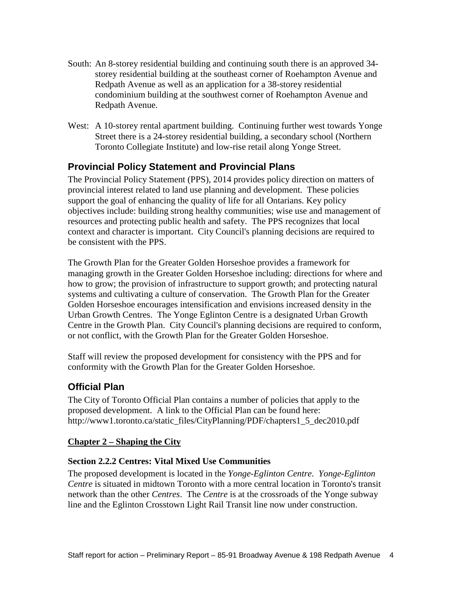- South: An 8-storey residential building and continuing south there is an approved 34 storey residential building at the southeast corner of Roehampton Avenue and Redpath Avenue as well as an application for a 38-storey residential condominium building at the southwest corner of Roehampton Avenue and Redpath Avenue.
- West: A 10-storey rental apartment building. Continuing further west towards Yonge Street there is a 24-storey residential building, a secondary school (Northern Toronto Collegiate Institute) and low-rise retail along Yonge Street.

## **Provincial Policy Statement and Provincial Plans**

The Provincial Policy Statement (PPS), 2014 provides policy direction on matters of provincial interest related to land use planning and development. These policies support the goal of enhancing the quality of life for all Ontarians. Key policy objectives include: building strong healthy communities; wise use and management of resources and protecting public health and safety. The PPS recognizes that local context and character is important. City Council's planning decisions are required to be consistent with the PPS.

The Growth Plan for the Greater Golden Horseshoe provides a framework for managing growth in the Greater Golden Horseshoe including: directions for where and how to grow; the provision of infrastructure to support growth; and protecting natural systems and cultivating a culture of conservation. The Growth Plan for the Greater Golden Horseshoe encourages intensification and envisions increased density in the Urban Growth Centres. The Yonge Eglinton Centre is a designated Urban Growth Centre in the Growth Plan. City Council's planning decisions are required to conform, or not conflict, with the Growth Plan for the Greater Golden Horseshoe.

Staff will review the proposed development for consistency with the PPS and for conformity with the Growth Plan for the Greater Golden Horseshoe.

## **Official Plan**

The City of Toronto Official Plan contains a number of policies that apply to the proposed development. A link to the Official Plan can be found here: http://www1.toronto.ca/static\_files/CityPlanning/PDF/chapters1\_5\_dec2010.pdf

#### **Chapter 2 – Shaping the City**

#### **Section 2.2.2 Centres: Vital Mixed Use Communities**

The proposed development is located in the *Yonge-Eglinton Centre*. *Yonge-Eglinton Centre* is situated in midtown Toronto with a more central location in Toronto's transit network than the other *Centres*. The *Centre* is at the crossroads of the Yonge subway line and the Eglinton Crosstown Light Rail Transit line now under construction.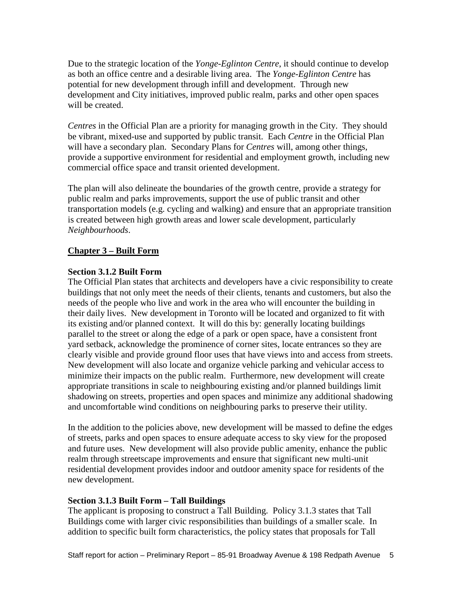Due to the strategic location of the *Yonge-Eglinton Centre*, it should continue to develop as both an office centre and a desirable living area. The *Yonge-Eglinton Centre* has potential for new development through infill and development. Through new development and City initiatives, improved public realm, parks and other open spaces will be created.

*Centres* in the Official Plan are a priority for managing growth in the City. They should be vibrant, mixed-use and supported by public transit. Each *Centre* in the Official Plan will have a secondary plan. Secondary Plans for *Centres* will, among other things, provide a supportive environment for residential and employment growth, including new commercial office space and transit oriented development.

The plan will also delineate the boundaries of the growth centre, provide a strategy for public realm and parks improvements, support the use of public transit and other transportation models (e.g. cycling and walking) and ensure that an appropriate transition is created between high growth areas and lower scale development, particularly *Neighbourhoods*.

#### **Chapter 3 – Built Form**

#### **Section 3.1.2 Built Form**

The Official Plan states that architects and developers have a civic responsibility to create buildings that not only meet the needs of their clients, tenants and customers, but also the needs of the people who live and work in the area who will encounter the building in their daily lives. New development in Toronto will be located and organized to fit with its existing and/or planned context. It will do this by: generally locating buildings parallel to the street or along the edge of a park or open space, have a consistent front yard setback, acknowledge the prominence of corner sites, locate entrances so they are clearly visible and provide ground floor uses that have views into and access from streets. New development will also locate and organize vehicle parking and vehicular access to minimize their impacts on the public realm. Furthermore, new development will create appropriate transitions in scale to neighbouring existing and/or planned buildings limit shadowing on streets, properties and open spaces and minimize any additional shadowing and uncomfortable wind conditions on neighbouring parks to preserve their utility.

In the addition to the policies above, new development will be massed to define the edges of streets, parks and open spaces to ensure adequate access to sky view for the proposed and future uses. New development will also provide public amenity, enhance the public realm through streetscape improvements and ensure that significant new multi-unit residential development provides indoor and outdoor amenity space for residents of the new development.

#### **Section 3.1.3 Built Form – Tall Buildings**

The applicant is proposing to construct a Tall Building. Policy 3.1.3 states that Tall Buildings come with larger civic responsibilities than buildings of a smaller scale. In addition to specific built form characteristics, the policy states that proposals for Tall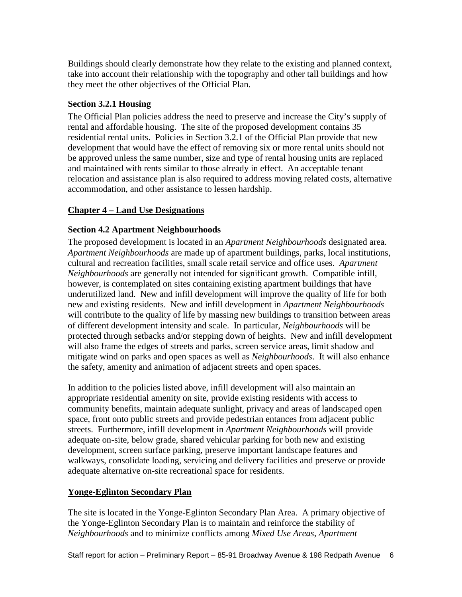Buildings should clearly demonstrate how they relate to the existing and planned context, take into account their relationship with the topography and other tall buildings and how they meet the other objectives of the Official Plan.

#### **Section 3.2.1 Housing**

The Official Plan policies address the need to preserve and increase the City's supply of rental and affordable housing. The site of the proposed development contains 35 residential rental units. Policies in Section 3.2.1 of the Official Plan provide that new development that would have the effect of removing six or more rental units should not be approved unless the same number, size and type of rental housing units are replaced and maintained with rents similar to those already in effect. An acceptable tenant relocation and assistance plan is also required to address moving related costs, alternative accommodation, and other assistance to lessen hardship.

#### **Chapter 4 – Land Use Designations**

#### **Section 4.2 Apartment Neighbourhoods**

The proposed development is located in an *Apartment Neighbourhoods* designated area. *Apartment Neighbourhoods* are made up of apartment buildings, parks, local institutions, cultural and recreation facilities, small scale retail service and office uses. *Apartment Neighbourhoods* are generally not intended for significant growth. Compatible infill, however, is contemplated on sites containing existing apartment buildings that have underutilized land. New and infill development will improve the quality of life for both new and existing residents. New and infill development in *Apartment Neighbourhoods* will contribute to the quality of life by massing new buildings to transition between areas of different development intensity and scale. In particular, *Neighbourhoods* will be protected through setbacks and/or stepping down of heights. New and infill development will also frame the edges of streets and parks, screen service areas, limit shadow and mitigate wind on parks and open spaces as well as *Neighbourhoods*. It will also enhance the safety, amenity and animation of adjacent streets and open spaces.

In addition to the policies listed above, infill development will also maintain an appropriate residential amenity on site, provide existing residents with access to community benefits, maintain adequate sunlight, privacy and areas of landscaped open space, front onto public streets and provide pedestrian entances from adjacent public streets. Furthermore, infill development in *Apartment Neighbourhoods* will provide adequate on-site, below grade, shared vehicular parking for both new and existing development, screen surface parking, preserve important landscape features and walkways, consolidate loading, servicing and delivery facilities and preserve or provide adequate alternative on-site recreational space for residents.

#### **Yonge-Eglinton Secondary Plan**

The site is located in the Yonge-Eglinton Secondary Plan Area. A primary objective of the Yonge-Eglinton Secondary Plan is to maintain and reinforce the stability of *Neighbourhoods* and to minimize conflicts among *Mixed Use Areas*, *Apartment*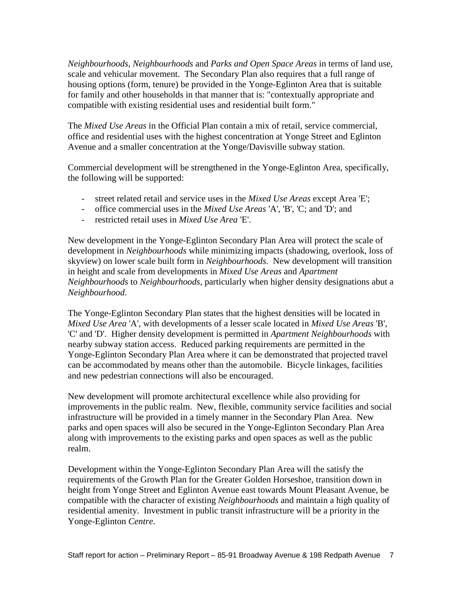*Neighbourhoods*, *Neighbourhoods* and *Parks and Open Space Areas* in terms of land use, scale and vehicular movement. The Secondary Plan also requires that a full range of housing options (form, tenure) be provided in the Yonge-Eglinton Area that is suitable for family and other households in that manner that is: "contextually appropriate and compatible with existing residential uses and residential built form."

The *Mixed Use Areas* in the Official Plan contain a mix of retail, service commercial, office and residential uses with the highest concentration at Yonge Street and Eglinton Avenue and a smaller concentration at the Yonge/Davisville subway station.

Commercial development will be strengthened in the Yonge-Eglinton Area, specifically, the following will be supported:

- street related retail and service uses in the *Mixed Use Areas* except Area 'E';
- office commercial uses in the *Mixed Use Areas* 'A', 'B', 'C; and 'D'; and
- restricted retail uses in *Mixed Use Area* 'E'.

New development in the Yonge-Eglinton Secondary Plan Area will protect the scale of development in *Neighbourhoods* while minimizing impacts (shadowing, overlook, loss of skyview) on lower scale built form in *Neighbourhoods*. New development will transition in height and scale from developments in *Mixed Use Areas* and *Apartment Neighbourhoods* to *Neighbourhoods*, particularly when higher density designations abut a *Neighbourhood*.

The Yonge-Eglinton Secondary Plan states that the highest densities will be located in *Mixed Use Area* 'A', with developments of a lesser scale located in *Mixed Use Areas* 'B', 'C' and 'D'. Higher density development is permitted in *Apartment Neighbourhoods* with nearby subway station access. Reduced parking requirements are permitted in the Yonge-Eglinton Secondary Plan Area where it can be demonstrated that projected travel can be accommodated by means other than the automobile. Bicycle linkages, facilities and new pedestrian connections will also be encouraged.

New development will promote architectural excellence while also providing for improvements in the public realm. New, flexible, community service facilities and social infrastructure will be provided in a timely manner in the Secondary Plan Area. New parks and open spaces will also be secured in the Yonge-Eglinton Secondary Plan Area along with improvements to the existing parks and open spaces as well as the public realm.

Development within the Yonge-Eglinton Secondary Plan Area will the satisfy the requirements of the Growth Plan for the Greater Golden Horseshoe, transition down in height from Yonge Street and Eglinton Avenue east towards Mount Pleasant Avenue, be compatible with the character of existing *Neighbourhoods* and maintain a high quality of residential amenity. Investment in public transit infrastructure will be a priority in the Yonge-Eglinton *Centre*.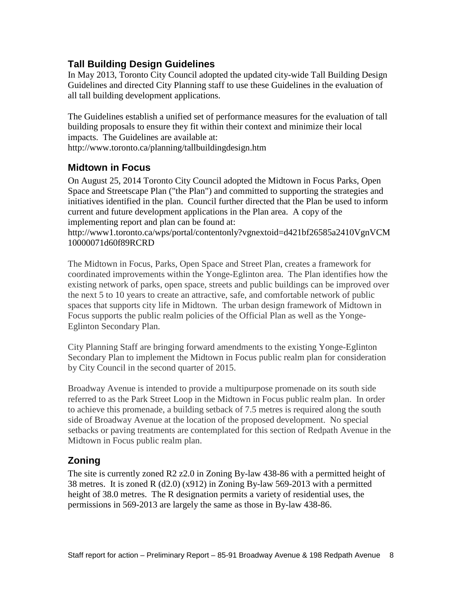## **Tall Building Design Guidelines**

In May 2013, Toronto City Council adopted the updated city-wide Tall Building Design Guidelines and directed City Planning staff to use these Guidelines in the evaluation of all tall building development applications.

The Guidelines establish a unified set of performance measures for the evaluation of tall building proposals to ensure they fit within their context and minimize their local impacts. The Guidelines are available at: http://www.toronto.ca/planning/tallbuildingdesign.htm

## **Midtown in Focus**

On August 25, 2014 Toronto City Council adopted the Midtown in Focus Parks, Open Space and Streetscape Plan ("the Plan") and committed to supporting the strategies and initiatives identified in the plan. Council further directed that the Plan be used to inform current and future development applications in the Plan area. A copy of the implementing report and plan can be found at:

http://www1.toronto.ca/wps/portal/contentonly?vgnextoid=d421bf26585a2410VgnVCM 10000071d60f89RCRD

The Midtown in Focus, Parks, Open Space and Street Plan, creates a framework for coordinated improvements within the Yonge-Eglinton area. The Plan identifies how the existing network of parks, open space, streets and public buildings can be improved over the next 5 to 10 years to create an attractive, safe, and comfortable network of public spaces that supports city life in Midtown. The urban design framework of Midtown in Focus supports the public realm policies of the Official Plan as well as the Yonge-Eglinton Secondary Plan.

City Planning Staff are bringing forward amendments to the existing Yonge-Eglinton Secondary Plan to implement the Midtown in Focus public realm plan for consideration by City Council in the second quarter of 2015.

Broadway Avenue is intended to provide a multipurpose promenade on its south side referred to as the Park Street Loop in the Midtown in Focus public realm plan. In order to achieve this promenade, a building setback of 7.5 metres is required along the south side of Broadway Avenue at the location of the proposed development. No special setbacks or paving treatments are contemplated for this section of Redpath Avenue in the Midtown in Focus public realm plan.

## **Zoning**

The site is currently zoned R2 z2.0 in Zoning By-law 438-86 with a permitted height of 38 metres. It is zoned R (d2.0) (x912) in Zoning By-law 569-2013 with a permitted height of 38.0 metres. The R designation permits a variety of residential uses, the permissions in 569-2013 are largely the same as those in By-law 438-86.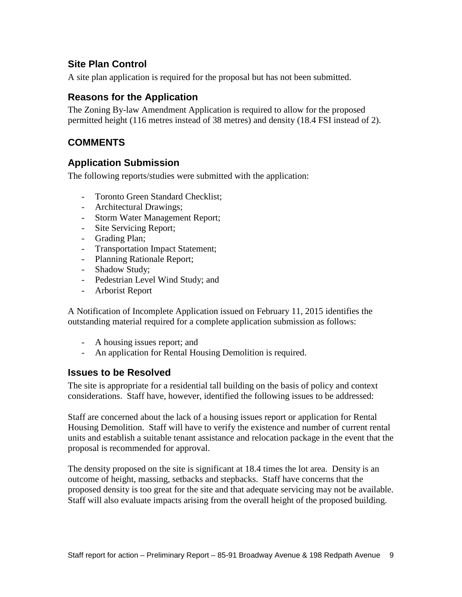## **Site Plan Control**

A site plan application is required for the proposal but has not been submitted.

## **Reasons for the Application**

The Zoning By-law Amendment Application is required to allow for the proposed permitted height (116 metres instead of 38 metres) and density (18.4 FSI instead of 2).

## **COMMENTS**

## **Application Submission**

The following reports/studies were submitted with the application:

- Toronto Green Standard Checklist;
- Architectural Drawings;
- Storm Water Management Report;
- Site Servicing Report;
- Grading Plan;
- Transportation Impact Statement;
- Planning Rationale Report;
- Shadow Study;
- Pedestrian Level Wind Study; and
- Arborist Report

A Notification of Incomplete Application issued on February 11, 2015 identifies the outstanding material required for a complete application submission as follows:

- A housing issues report; and
- An application for Rental Housing Demolition is required.

## **Issues to be Resolved**

The site is appropriate for a residential tall building on the basis of policy and context considerations. Staff have, however, identified the following issues to be addressed:

Staff are concerned about the lack of a housing issues report or application for Rental Housing Demolition. Staff will have to verify the existence and number of current rental units and establish a suitable tenant assistance and relocation package in the event that the proposal is recommended for approval.

The density proposed on the site is significant at 18.4 times the lot area. Density is an outcome of height, massing, setbacks and stepbacks. Staff have concerns that the proposed density is too great for the site and that adequate servicing may not be available. Staff will also evaluate impacts arising from the overall height of the proposed building.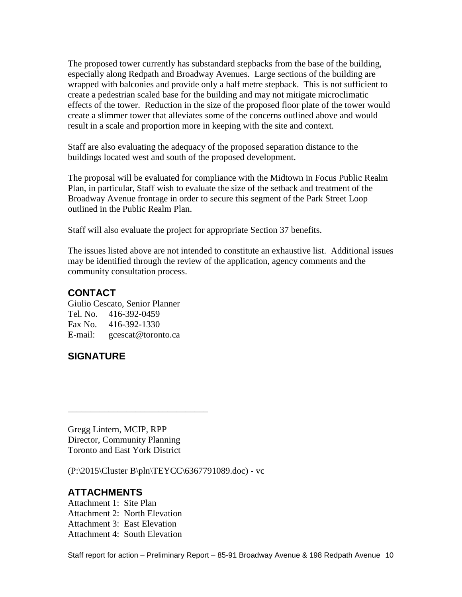The proposed tower currently has substandard stepbacks from the base of the building, especially along Redpath and Broadway Avenues. Large sections of the building are wrapped with balconies and provide only a half metre stepback. This is not sufficient to create a pedestrian scaled base for the building and may not mitigate microclimatic effects of the tower. Reduction in the size of the proposed floor plate of the tower would create a slimmer tower that alleviates some of the concerns outlined above and would result in a scale and proportion more in keeping with the site and context.

Staff are also evaluating the adequacy of the proposed separation distance to the buildings located west and south of the proposed development.

The proposal will be evaluated for compliance with the Midtown in Focus Public Realm Plan, in particular, Staff wish to evaluate the size of the setback and treatment of the Broadway Avenue frontage in order to secure this segment of the Park Street Loop outlined in the Public Realm Plan.

Staff will also evaluate the project for appropriate Section 37 benefits.

The issues listed above are not intended to constitute an exhaustive list. Additional issues may be identified through the review of the application, agency comments and the community consultation process.

### **CONTACT**

Giulio Cescato, Senior Planner Tel. No. 416-392-0459 Fax No. 416-392-1330 E-mail: gcescat@toronto.ca

## **SIGNATURE**

Gregg Lintern, MCIP, RPP Director, Community Planning Toronto and East York District

\_\_\_\_\_\_\_\_\_\_\_\_\_\_\_\_\_\_\_\_\_\_\_\_\_\_\_\_\_\_\_

(P:\2015\Cluster B\pln\TEYCC\6367791089.doc) - vc

## **ATTACHMENTS**

Attachment 1: Site Plan Attachment 2: North Elevation Attachment 3: East Elevation Attachment 4: South Elevation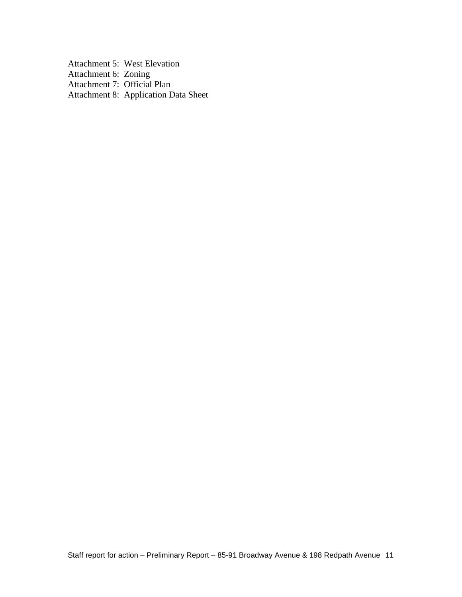Attachment 5: West Elevation Attachment 6: Zoning Attachment 7: Official Plan Attachment 8: Application Data Sheet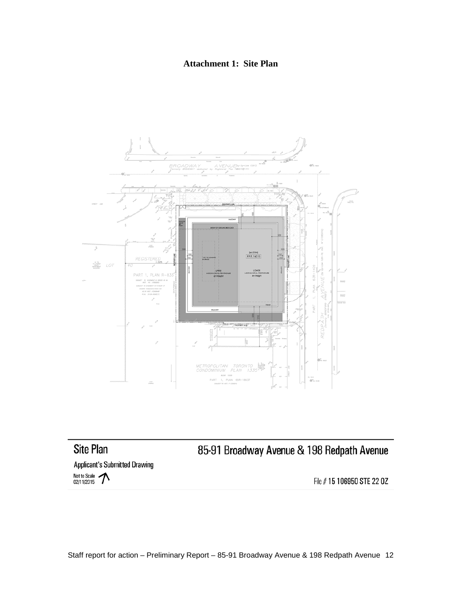

**Site Plan** 85-91 Broadway Avenue & 198 Redpath Avenue **Applicant's Submitted Drawing** Not to Scale 1 File #15 106950 STE 22 0Z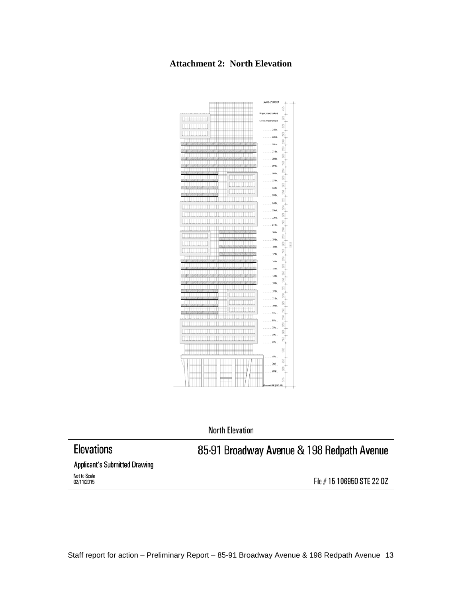#### **Attachment 2: North Elevation**



**North Elevation** 

## **Elevations**

85-91 Broadway Avenue & 198 Redpath Avenue

**Applicant's Submitted Drawing** 

Not to Scale 02/11/2015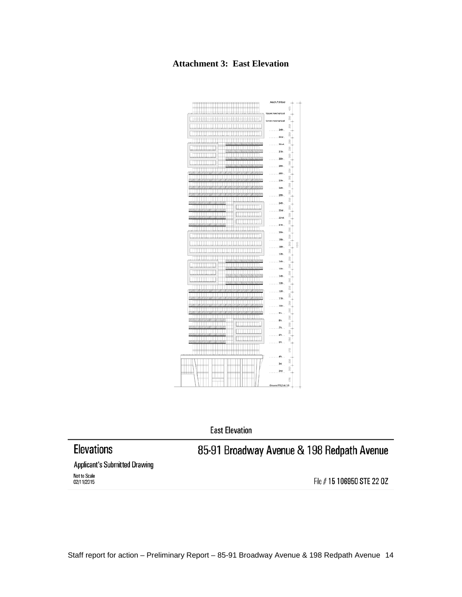#### **Attachment 3: East Elevation**



**East Elevation** 

## **Elevations**

85-91 Broadway Avenue & 198 Redpath Avenue

**Applicant's Submitted Drawing** 

Not to Scale 02/11/2015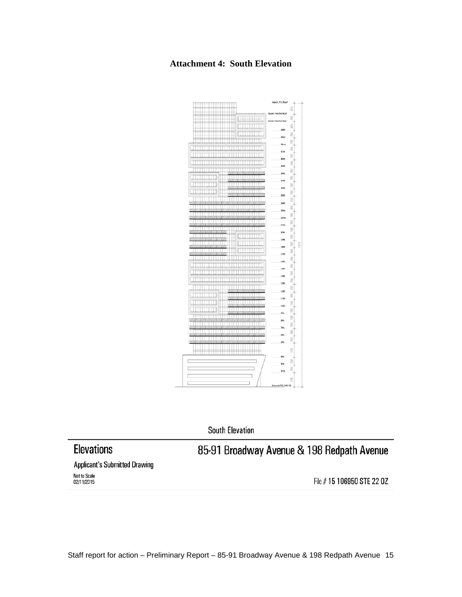#### **Attachment 4: South Elevation**



**South Elevation** 

## **Elevations**

85-91 Broadway Avenue & 198 Redpath Avenue

**Applicant's Submitted Drawing** 

Not to Scale 02/11/2015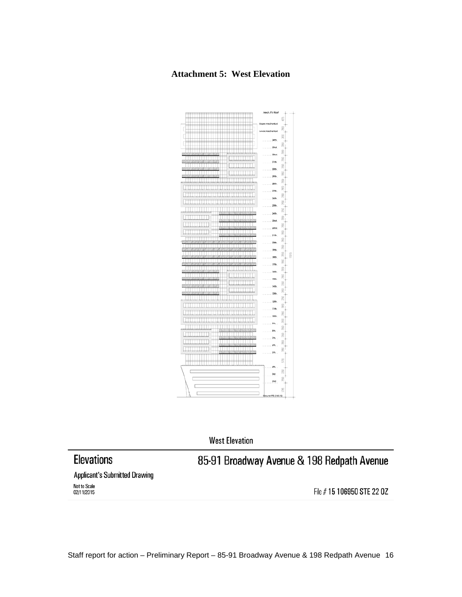

**West Elevation** 

## **Elevations**

85-91 Broadway Avenue & 198 Redpath Avenue

**Applicant's Submitted Drawing** 

Not to Scale 02/11/2015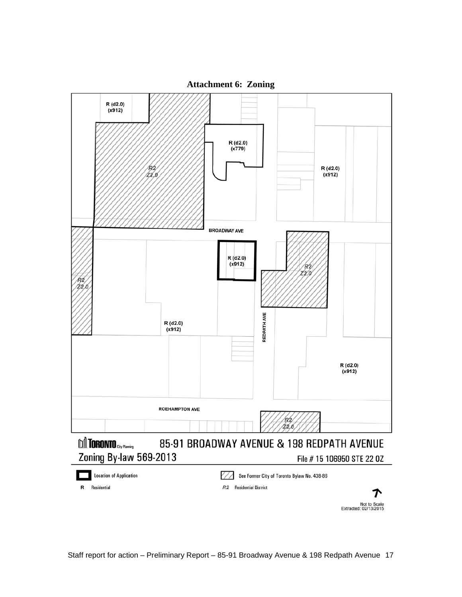

**Attachment 6: Zoning**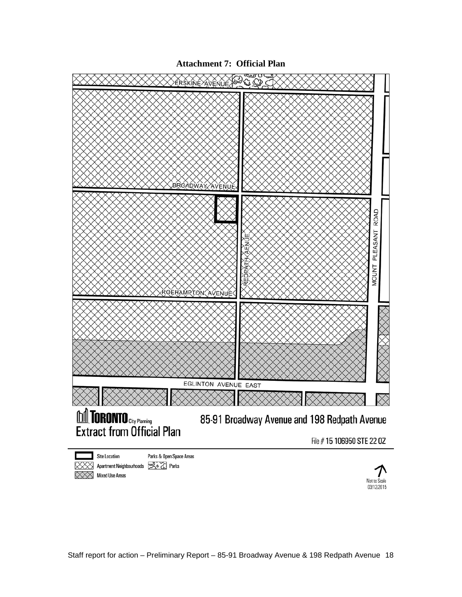

**Site Location** Parks & Open Space Areas Apartment Neighbourhoods 20 2 Parks  $\boxtimes$  Mixed Use Areas